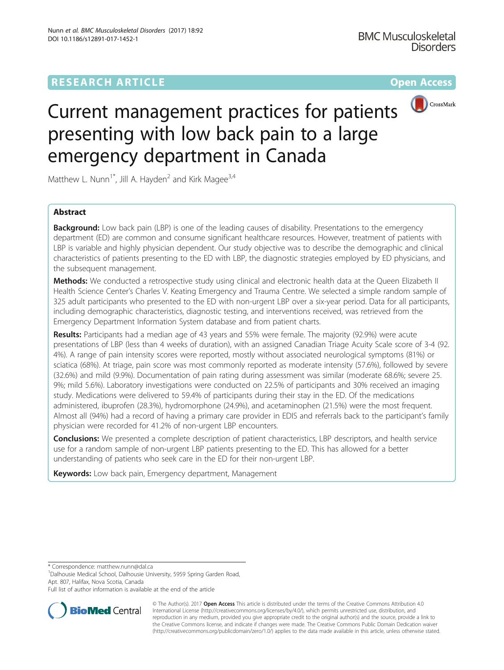## **RESEARCH ARTICLE Example 2014 12:30 The Contract of Contract ACCESS**



# Current management practices for patients presenting with low back pain to a large emergency department in Canada

Matthew L. Nunn<sup>1\*</sup>, Jill A. Hayden<sup>2</sup> and Kirk Magee<sup>3,4</sup>

## Abstract

**Background:** Low back pain (LBP) is one of the leading causes of disability. Presentations to the emergency department (ED) are common and consume significant healthcare resources. However, treatment of patients with LBP is variable and highly physician dependent. Our study objective was to describe the demographic and clinical characteristics of patients presenting to the ED with LBP, the diagnostic strategies employed by ED physicians, and the subsequent management.

Methods: We conducted a retrospective study using clinical and electronic health data at the Queen Elizabeth II Health Science Center's Charles V. Keating Emergency and Trauma Centre. We selected a simple random sample of 325 adult participants who presented to the ED with non-urgent LBP over a six-year period. Data for all participants, including demographic characteristics, diagnostic testing, and interventions received, was retrieved from the Emergency Department Information System database and from patient charts.

Results: Participants had a median age of 43 years and 55% were female. The majority (92.9%) were acute presentations of LBP (less than 4 weeks of duration), with an assigned Canadian Triage Acuity Scale score of 3-4 (92. 4%). A range of pain intensity scores were reported, mostly without associated neurological symptoms (81%) or sciatica (68%). At triage, pain score was most commonly reported as moderate intensity (57.6%), followed by severe (32.6%) and mild (9.9%). Documentation of pain rating during assessment was similar (moderate 68.6%; severe 25. 9%; mild 5.6%). Laboratory investigations were conducted on 22.5% of participants and 30% received an imaging study. Medications were delivered to 59.4% of participants during their stay in the ED. Of the medications administered, ibuprofen (28.3%), hydromorphone (24.9%), and acetaminophen (21.5%) were the most frequent. Almost all (94%) had a record of having a primary care provider in EDIS and referrals back to the participant's family physician were recorded for 41.2% of non-urgent LBP encounters.

Conclusions: We presented a complete description of patient characteristics, LBP descriptors, and health service use for a random sample of non-urgent LBP patients presenting to the ED. This has allowed for a better understanding of patients who seek care in the ED for their non-urgent LBP.

Keywords: Low back pain, Emergency department, Management

\* Correspondence: [matthew.nunn@dal.ca](mailto:matthew.nunn@dal.ca) <sup>1</sup>

<sup>1</sup>Dalhousie Medical School, Dalhousie University, 5959 Spring Garden Road, Apt. 807, Halifax, Nova Scotia, Canada

Full list of author information is available at the end of the article



© The Author(s). 2017 **Open Access** This article is distributed under the terms of the Creative Commons Attribution 4.0 International License [\(http://creativecommons.org/licenses/by/4.0/](http://creativecommons.org/licenses/by/4.0/)), which permits unrestricted use, distribution, and reproduction in any medium, provided you give appropriate credit to the original author(s) and the source, provide a link to the Creative Commons license, and indicate if changes were made. The Creative Commons Public Domain Dedication waiver [\(http://creativecommons.org/publicdomain/zero/1.0/](http://creativecommons.org/publicdomain/zero/1.0/)) applies to the data made available in this article, unless otherwise stated.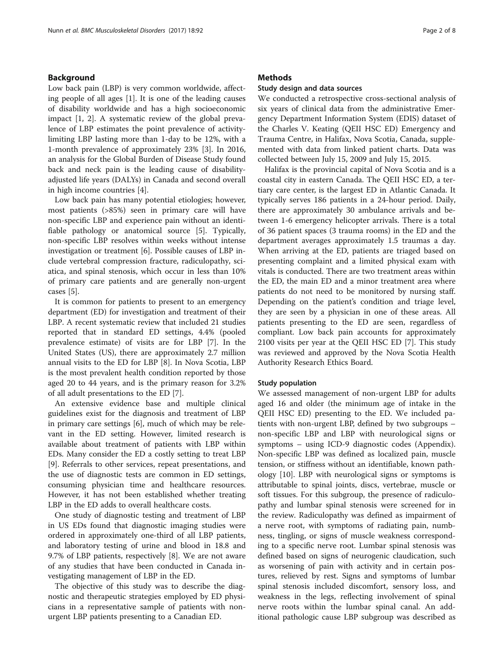## Background

Low back pain (LBP) is very common worldwide, affecting people of all ages [[1\]](#page-7-0). It is one of the leading causes of disability worldwide and has a high socioeconomic impact [\[1, 2](#page-7-0)]. A systematic review of the global prevalence of LBP estimates the point prevalence of activitylimiting LBP lasting more than 1-day to be 12%, with a 1-month prevalence of approximately 23% [[3\]](#page-7-0). In 2016, an analysis for the Global Burden of Disease Study found back and neck pain is the leading cause of disabilityadjusted life years (DALYs) in Canada and second overall in high income countries [\[4](#page-7-0)].

Low back pain has many potential etiologies; however, most patients (>85%) seen in primary care will have non-specific LBP and experience pain without an identifiable pathology or anatomical source [[5\]](#page-7-0). Typically, non-specific LBP resolves within weeks without intense investigation or treatment [[6\]](#page-7-0). Possible causes of LBP include vertebral compression fracture, radiculopathy, sciatica, and spinal stenosis, which occur in less than 10% of primary care patients and are generally non-urgent cases [[5\]](#page-7-0).

It is common for patients to present to an emergency department (ED) for investigation and treatment of their LBP. A recent systematic review that included 21 studies reported that in standard ED settings, 4.4% (pooled prevalence estimate) of visits are for LBP [[7\]](#page-7-0). In the United States (US), there are approximately 2.7 million annual visits to the ED for LBP [\[8\]](#page-7-0). In Nova Scotia, LBP is the most prevalent health condition reported by those aged 20 to 44 years, and is the primary reason for 3.2% of all adult presentations to the ED [[7\]](#page-7-0).

An extensive evidence base and multiple clinical guidelines exist for the diagnosis and treatment of LBP in primary care settings [\[6](#page-7-0)], much of which may be relevant in the ED setting. However, limited research is available about treatment of patients with LBP within EDs. Many consider the ED a costly setting to treat LBP [[9\]](#page-7-0). Referrals to other services, repeat presentations, and the use of diagnostic tests are common in ED settings, consuming physician time and healthcare resources. However, it has not been established whether treating LBP in the ED adds to overall healthcare costs.

One study of diagnostic testing and treatment of LBP in US EDs found that diagnostic imaging studies were ordered in approximately one-third of all LBP patients, and laboratory testing of urine and blood in 18.8 and 9.7% of LBP patients, respectively [[8](#page-7-0)]. We are not aware of any studies that have been conducted in Canada investigating management of LBP in the ED.

The objective of this study was to describe the diagnostic and therapeutic strategies employed by ED physicians in a representative sample of patients with nonurgent LBP patients presenting to a Canadian ED.

#### **Methods**

#### Study design and data sources

We conducted a retrospective cross-sectional analysis of six years of clinical data from the administrative Emergency Department Information System (EDIS) dataset of the Charles V. Keating (QEII HSC ED) Emergency and Trauma Centre, in Halifax, Nova Scotia, Canada, supplemented with data from linked patient charts. Data was collected between July 15, 2009 and July 15, 2015.

Halifax is the provincial capital of Nova Scotia and is a coastal city in eastern Canada. The QEII HSC ED, a tertiary care center, is the largest ED in Atlantic Canada. It typically serves 186 patients in a 24-hour period. Daily, there are approximately 30 ambulance arrivals and between 1-6 emergency helicopter arrivals. There is a total of 36 patient spaces (3 trauma rooms) in the ED and the department averages approximately 1.5 traumas a day. When arriving at the ED, patients are triaged based on presenting complaint and a limited physical exam with vitals is conducted. There are two treatment areas within the ED, the main ED and a minor treatment area where patients do not need to be monitored by nursing staff. Depending on the patient's condition and triage level, they are seen by a physician in one of these areas. All patients presenting to the ED are seen, regardless of compliant. Low back pain accounts for approximately 2100 visits per year at the QEII HSC ED [\[7](#page-7-0)]. This study was reviewed and approved by the Nova Scotia Health Authority Research Ethics Board.

#### Study population

We assessed management of non-urgent LBP for adults aged 16 and older (the minimum age of intake in the QEII HSC ED) presenting to the ED. We included patients with non-urgent LBP, defined by two subgroups – non-specific LBP and LBP with neurological signs or symptoms – using ICD-9 diagnostic codes (Appendix). Non-specific LBP was defined as localized pain, muscle tension, or stiffness without an identifiable, known pathology [[10\]](#page-7-0). LBP with neurological signs or symptoms is attributable to spinal joints, discs, vertebrae, muscle or soft tissues. For this subgroup, the presence of radiculopathy and lumbar spinal stenosis were screened for in the review. Radiculopathy was defined as impairment of a nerve root, with symptoms of radiating pain, numbness, tingling, or signs of muscle weakness corresponding to a specific nerve root. Lumbar spinal stenosis was defined based on signs of neurogenic claudication, such as worsening of pain with activity and in certain postures, relieved by rest. Signs and symptoms of lumbar spinal stenosis included discomfort, sensory loss, and weakness in the legs, reflecting involvement of spinal nerve roots within the lumbar spinal canal. An additional pathologic cause LBP subgroup was described as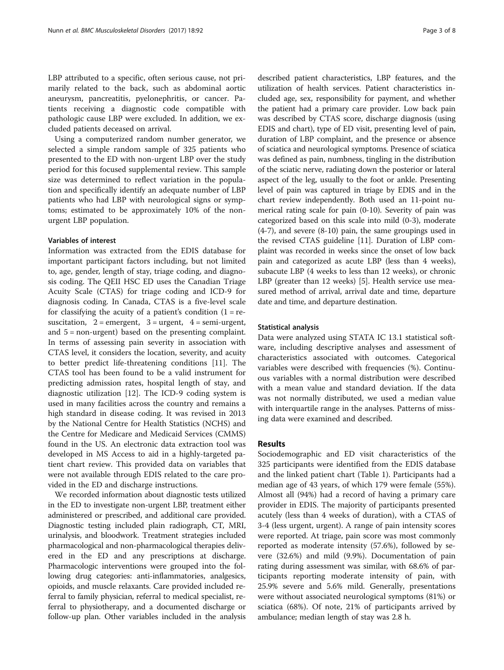LBP attributed to a specific, often serious cause, not primarily related to the back, such as abdominal aortic aneurysm, pancreatitis, pyelonephritis, or cancer. Patients receiving a diagnostic code compatible with pathologic cause LBP were excluded. In addition, we excluded patients deceased on arrival.

Using a computerized random number generator, we selected a simple random sample of 325 patients who presented to the ED with non-urgent LBP over the study period for this focused supplemental review. This sample size was determined to reflect variation in the population and specifically identify an adequate number of LBP patients who had LBP with neurological signs or symptoms; estimated to be approximately 10% of the nonurgent LBP population.

#### Variables of interest

Information was extracted from the EDIS database for important participant factors including, but not limited to, age, gender, length of stay, triage coding, and diagnosis coding. The QEII HSC ED uses the Canadian Triage Acuity Scale (CTAS) for triage coding and ICD-9 for diagnosis coding. In Canada, CTAS is a five-level scale for classifying the acuity of a patient's condition  $(1 = re$ suscitation,  $2 =$  emergent,  $3 =$  urgent,  $4 =$  semi-urgent, and 5 = non-urgent) based on the presenting complaint. In terms of assessing pain severity in association with CTAS level, it considers the location, severity, and acuity to better predict life-threatening conditions [[11\]](#page-7-0). The CTAS tool has been found to be a valid instrument for predicting admission rates, hospital length of stay, and diagnostic utilization [[12\]](#page-7-0). The ICD-9 coding system is used in many facilities across the country and remains a high standard in disease coding. It was revised in 2013 by the National Centre for Health Statistics (NCHS) and the Centre for Medicare and Medicaid Services (CMMS) found in the US. An electronic data extraction tool was developed in MS Access to aid in a highly-targeted patient chart review. This provided data on variables that were not available through EDIS related to the care provided in the ED and discharge instructions.

We recorded information about diagnostic tests utilized in the ED to investigate non-urgent LBP, treatment either administered or prescribed, and additional care provided. Diagnostic testing included plain radiograph, CT, MRI, urinalysis, and bloodwork. Treatment strategies included pharmacological and non-pharmacological therapies delivered in the ED and any prescriptions at discharge. Pharmacologic interventions were grouped into the following drug categories: anti-inflammatories, analgesics, opioids, and muscle relaxants. Care provided included referral to family physician, referral to medical specialist, referral to physiotherapy, and a documented discharge or follow-up plan. Other variables included in the analysis

described patient characteristics, LBP features, and the utilization of health services. Patient characteristics included age, sex, responsibility for payment, and whether the patient had a primary care provider. Low back pain was described by CTAS score, discharge diagnosis (using EDIS and chart), type of ED visit, presenting level of pain, duration of LBP complaint, and the presence or absence of sciatica and neurological symptoms. Presence of sciatica was defined as pain, numbness, tingling in the distribution of the sciatic nerve, radiating down the posterior or lateral aspect of the leg, usually to the foot or ankle. Presenting level of pain was captured in triage by EDIS and in the chart review independently. Both used an 11-point numerical rating scale for pain (0-10). Severity of pain was categorized based on this scale into mild (0-3), moderate (4-7), and severe (8-10) pain, the same groupings used in the revised CTAS guideline [[11\]](#page-7-0). Duration of LBP complaint was recorded in weeks since the onset of low back pain and categorized as acute LBP (less than 4 weeks), subacute LBP (4 weeks to less than 12 weeks), or chronic LBP (greater than 12 weeks) [\[5\]](#page-7-0). Health service use measured method of arrival, arrival date and time, departure date and time, and departure destination.

#### Statistical analysis

Data were analyzed using STATA IC 13.1 statistical software, including descriptive analyses and assessment of characteristics associated with outcomes. Categorical variables were described with frequencies (%). Continuous variables with a normal distribution were described with a mean value and standard deviation. If the data was not normally distributed, we used a median value with interquartile range in the analyses. Patterns of missing data were examined and described.

#### Results

Sociodemographic and ED visit characteristics of the 325 participants were identified from the EDIS database and the linked patient chart (Table [1](#page-3-0)). Participants had a median age of 43 years, of which 179 were female (55%). Almost all (94%) had a record of having a primary care provider in EDIS. The majority of participants presented acutely (less than 4 weeks of duration), with a CTAS of 3-4 (less urgent, urgent). A range of pain intensity scores were reported. At triage, pain score was most commonly reported as moderate intensity (57.6%), followed by severe (32.6%) and mild (9.9%). Documentation of pain rating during assessment was similar, with 68.6% of participants reporting moderate intensity of pain, with 25.9% severe and 5.6% mild. Generally, presentations were without associated neurological symptoms (81%) or sciatica (68%). Of note, 21% of participants arrived by ambulance; median length of stay was 2.8 h.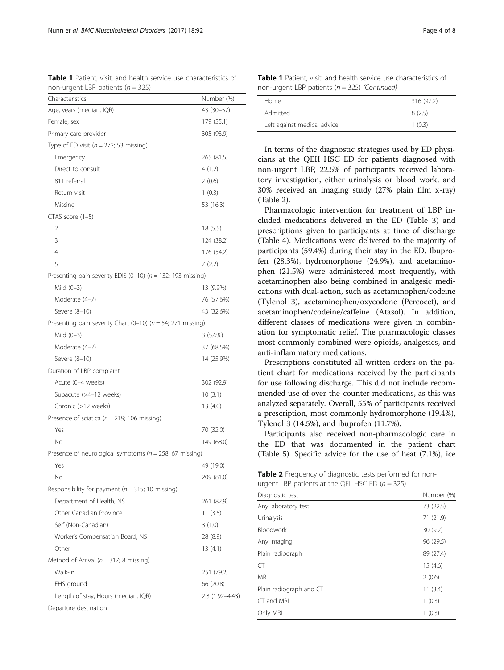| Number (%)<br>Characteristics<br>Age, years (median, IQR)<br>43 (30–57)<br>Female, sex<br>179 (55.1)<br>305 (93.9)<br>Primary care provider<br>Type of ED visit ( $n = 272$ ; 53 missing)<br>Emergency<br>265 (81.5)<br>4(1.2)<br>Direct to consult<br>811 referral<br>2(0.6)<br>Return visit<br>1(0.3)<br>Missing<br>53 (16.3)<br>$CTAS score (1-5)$<br>2<br>18 (5.5)<br>3<br>124 (38.2)<br>$\overline{4}$<br>176 (54.2)<br>5<br>7(2.2)<br>Presenting pain severity EDIS (0–10) ( $n = 132$ ; 193 missing)<br>Mild $(0-3)$<br>13 (9.9%)<br>Moderate (4-7)<br>76 (57.6%)<br>Severe (8-10)<br>43 (32.6%)<br>Presenting pain severity Chart (0-10) ( $n = 54$ ; 271 missing)<br>Mild $(0-3)$<br>3(5.6%)<br>Moderate (4-7)<br>37 (68.5%)<br>Severe (8-10)<br>14 (25.9%)<br>Duration of LBP complaint<br>Acute (0-4 weeks)<br>302 (92.9)<br>Subacute (>4-12 weeks)<br>10(3.1)<br>Chronic (>12 weeks)<br>13 (4.0)<br>Presence of sciatica ( $n = 219$ ; 106 missing)<br>Yes<br>70 (32.0)<br>Νo<br>149 (68.0)<br>Presence of neurological symptoms ( $n = 258$ ; 67 missing)<br>Yes<br>49 (19.0)<br>No<br>209 (81.0)<br>Responsibility for payment ( $n = 315$ ; 10 missing)<br>Department of Health, NS<br>261 (82.9)<br>Other Canadian Province<br>11(3.5)<br>Self (Non-Canadian)<br>3(1.0)<br>Worker's Compensation Board, NS<br>28 (8.9)<br>Other<br>13 (4.1)<br>Method of Arrival ( $n = 317$ ; 8 missing)<br>Walk-in<br>251 (79.2)<br>EHS ground<br>66 (20.8)<br>2.8 (1.92-4.43)<br>Length of stay, Hours (median, IQR)<br>Departure destination | non-urgent LBP patients ( $n = 325$ ) |  |
|--------------------------------------------------------------------------------------------------------------------------------------------------------------------------------------------------------------------------------------------------------------------------------------------------------------------------------------------------------------------------------------------------------------------------------------------------------------------------------------------------------------------------------------------------------------------------------------------------------------------------------------------------------------------------------------------------------------------------------------------------------------------------------------------------------------------------------------------------------------------------------------------------------------------------------------------------------------------------------------------------------------------------------------------------------------------------------------------------------------------------------------------------------------------------------------------------------------------------------------------------------------------------------------------------------------------------------------------------------------------------------------------------------------------------------------------------------------------------------------------------------------------------------------------------|---------------------------------------|--|
|                                                                                                                                                                                                                                                                                                                                                                                                                                                                                                                                                                                                                                                                                                                                                                                                                                                                                                                                                                                                                                                                                                                                                                                                                                                                                                                                                                                                                                                                                                                                                  |                                       |  |
|                                                                                                                                                                                                                                                                                                                                                                                                                                                                                                                                                                                                                                                                                                                                                                                                                                                                                                                                                                                                                                                                                                                                                                                                                                                                                                                                                                                                                                                                                                                                                  |                                       |  |
|                                                                                                                                                                                                                                                                                                                                                                                                                                                                                                                                                                                                                                                                                                                                                                                                                                                                                                                                                                                                                                                                                                                                                                                                                                                                                                                                                                                                                                                                                                                                                  |                                       |  |
|                                                                                                                                                                                                                                                                                                                                                                                                                                                                                                                                                                                                                                                                                                                                                                                                                                                                                                                                                                                                                                                                                                                                                                                                                                                                                                                                                                                                                                                                                                                                                  |                                       |  |
|                                                                                                                                                                                                                                                                                                                                                                                                                                                                                                                                                                                                                                                                                                                                                                                                                                                                                                                                                                                                                                                                                                                                                                                                                                                                                                                                                                                                                                                                                                                                                  |                                       |  |
|                                                                                                                                                                                                                                                                                                                                                                                                                                                                                                                                                                                                                                                                                                                                                                                                                                                                                                                                                                                                                                                                                                                                                                                                                                                                                                                                                                                                                                                                                                                                                  |                                       |  |
|                                                                                                                                                                                                                                                                                                                                                                                                                                                                                                                                                                                                                                                                                                                                                                                                                                                                                                                                                                                                                                                                                                                                                                                                                                                                                                                                                                                                                                                                                                                                                  |                                       |  |
|                                                                                                                                                                                                                                                                                                                                                                                                                                                                                                                                                                                                                                                                                                                                                                                                                                                                                                                                                                                                                                                                                                                                                                                                                                                                                                                                                                                                                                                                                                                                                  |                                       |  |
|                                                                                                                                                                                                                                                                                                                                                                                                                                                                                                                                                                                                                                                                                                                                                                                                                                                                                                                                                                                                                                                                                                                                                                                                                                                                                                                                                                                                                                                                                                                                                  |                                       |  |
|                                                                                                                                                                                                                                                                                                                                                                                                                                                                                                                                                                                                                                                                                                                                                                                                                                                                                                                                                                                                                                                                                                                                                                                                                                                                                                                                                                                                                                                                                                                                                  |                                       |  |
|                                                                                                                                                                                                                                                                                                                                                                                                                                                                                                                                                                                                                                                                                                                                                                                                                                                                                                                                                                                                                                                                                                                                                                                                                                                                                                                                                                                                                                                                                                                                                  |                                       |  |
|                                                                                                                                                                                                                                                                                                                                                                                                                                                                                                                                                                                                                                                                                                                                                                                                                                                                                                                                                                                                                                                                                                                                                                                                                                                                                                                                                                                                                                                                                                                                                  |                                       |  |
|                                                                                                                                                                                                                                                                                                                                                                                                                                                                                                                                                                                                                                                                                                                                                                                                                                                                                                                                                                                                                                                                                                                                                                                                                                                                                                                                                                                                                                                                                                                                                  |                                       |  |
|                                                                                                                                                                                                                                                                                                                                                                                                                                                                                                                                                                                                                                                                                                                                                                                                                                                                                                                                                                                                                                                                                                                                                                                                                                                                                                                                                                                                                                                                                                                                                  |                                       |  |
|                                                                                                                                                                                                                                                                                                                                                                                                                                                                                                                                                                                                                                                                                                                                                                                                                                                                                                                                                                                                                                                                                                                                                                                                                                                                                                                                                                                                                                                                                                                                                  |                                       |  |
|                                                                                                                                                                                                                                                                                                                                                                                                                                                                                                                                                                                                                                                                                                                                                                                                                                                                                                                                                                                                                                                                                                                                                                                                                                                                                                                                                                                                                                                                                                                                                  |                                       |  |
|                                                                                                                                                                                                                                                                                                                                                                                                                                                                                                                                                                                                                                                                                                                                                                                                                                                                                                                                                                                                                                                                                                                                                                                                                                                                                                                                                                                                                                                                                                                                                  |                                       |  |
|                                                                                                                                                                                                                                                                                                                                                                                                                                                                                                                                                                                                                                                                                                                                                                                                                                                                                                                                                                                                                                                                                                                                                                                                                                                                                                                                                                                                                                                                                                                                                  |                                       |  |
|                                                                                                                                                                                                                                                                                                                                                                                                                                                                                                                                                                                                                                                                                                                                                                                                                                                                                                                                                                                                                                                                                                                                                                                                                                                                                                                                                                                                                                                                                                                                                  |                                       |  |
|                                                                                                                                                                                                                                                                                                                                                                                                                                                                                                                                                                                                                                                                                                                                                                                                                                                                                                                                                                                                                                                                                                                                                                                                                                                                                                                                                                                                                                                                                                                                                  |                                       |  |
|                                                                                                                                                                                                                                                                                                                                                                                                                                                                                                                                                                                                                                                                                                                                                                                                                                                                                                                                                                                                                                                                                                                                                                                                                                                                                                                                                                                                                                                                                                                                                  |                                       |  |
|                                                                                                                                                                                                                                                                                                                                                                                                                                                                                                                                                                                                                                                                                                                                                                                                                                                                                                                                                                                                                                                                                                                                                                                                                                                                                                                                                                                                                                                                                                                                                  |                                       |  |
|                                                                                                                                                                                                                                                                                                                                                                                                                                                                                                                                                                                                                                                                                                                                                                                                                                                                                                                                                                                                                                                                                                                                                                                                                                                                                                                                                                                                                                                                                                                                                  |                                       |  |
|                                                                                                                                                                                                                                                                                                                                                                                                                                                                                                                                                                                                                                                                                                                                                                                                                                                                                                                                                                                                                                                                                                                                                                                                                                                                                                                                                                                                                                                                                                                                                  |                                       |  |
|                                                                                                                                                                                                                                                                                                                                                                                                                                                                                                                                                                                                                                                                                                                                                                                                                                                                                                                                                                                                                                                                                                                                                                                                                                                                                                                                                                                                                                                                                                                                                  |                                       |  |
|                                                                                                                                                                                                                                                                                                                                                                                                                                                                                                                                                                                                                                                                                                                                                                                                                                                                                                                                                                                                                                                                                                                                                                                                                                                                                                                                                                                                                                                                                                                                                  |                                       |  |
|                                                                                                                                                                                                                                                                                                                                                                                                                                                                                                                                                                                                                                                                                                                                                                                                                                                                                                                                                                                                                                                                                                                                                                                                                                                                                                                                                                                                                                                                                                                                                  |                                       |  |
|                                                                                                                                                                                                                                                                                                                                                                                                                                                                                                                                                                                                                                                                                                                                                                                                                                                                                                                                                                                                                                                                                                                                                                                                                                                                                                                                                                                                                                                                                                                                                  |                                       |  |
|                                                                                                                                                                                                                                                                                                                                                                                                                                                                                                                                                                                                                                                                                                                                                                                                                                                                                                                                                                                                                                                                                                                                                                                                                                                                                                                                                                                                                                                                                                                                                  |                                       |  |
|                                                                                                                                                                                                                                                                                                                                                                                                                                                                                                                                                                                                                                                                                                                                                                                                                                                                                                                                                                                                                                                                                                                                                                                                                                                                                                                                                                                                                                                                                                                                                  |                                       |  |
|                                                                                                                                                                                                                                                                                                                                                                                                                                                                                                                                                                                                                                                                                                                                                                                                                                                                                                                                                                                                                                                                                                                                                                                                                                                                                                                                                                                                                                                                                                                                                  |                                       |  |
|                                                                                                                                                                                                                                                                                                                                                                                                                                                                                                                                                                                                                                                                                                                                                                                                                                                                                                                                                                                                                                                                                                                                                                                                                                                                                                                                                                                                                                                                                                                                                  |                                       |  |
|                                                                                                                                                                                                                                                                                                                                                                                                                                                                                                                                                                                                                                                                                                                                                                                                                                                                                                                                                                                                                                                                                                                                                                                                                                                                                                                                                                                                                                                                                                                                                  |                                       |  |
|                                                                                                                                                                                                                                                                                                                                                                                                                                                                                                                                                                                                                                                                                                                                                                                                                                                                                                                                                                                                                                                                                                                                                                                                                                                                                                                                                                                                                                                                                                                                                  |                                       |  |
|                                                                                                                                                                                                                                                                                                                                                                                                                                                                                                                                                                                                                                                                                                                                                                                                                                                                                                                                                                                                                                                                                                                                                                                                                                                                                                                                                                                                                                                                                                                                                  |                                       |  |
|                                                                                                                                                                                                                                                                                                                                                                                                                                                                                                                                                                                                                                                                                                                                                                                                                                                                                                                                                                                                                                                                                                                                                                                                                                                                                                                                                                                                                                                                                                                                                  |                                       |  |
|                                                                                                                                                                                                                                                                                                                                                                                                                                                                                                                                                                                                                                                                                                                                                                                                                                                                                                                                                                                                                                                                                                                                                                                                                                                                                                                                                                                                                                                                                                                                                  |                                       |  |
|                                                                                                                                                                                                                                                                                                                                                                                                                                                                                                                                                                                                                                                                                                                                                                                                                                                                                                                                                                                                                                                                                                                                                                                                                                                                                                                                                                                                                                                                                                                                                  |                                       |  |
|                                                                                                                                                                                                                                                                                                                                                                                                                                                                                                                                                                                                                                                                                                                                                                                                                                                                                                                                                                                                                                                                                                                                                                                                                                                                                                                                                                                                                                                                                                                                                  |                                       |  |
|                                                                                                                                                                                                                                                                                                                                                                                                                                                                                                                                                                                                                                                                                                                                                                                                                                                                                                                                                                                                                                                                                                                                                                                                                                                                                                                                                                                                                                                                                                                                                  |                                       |  |
|                                                                                                                                                                                                                                                                                                                                                                                                                                                                                                                                                                                                                                                                                                                                                                                                                                                                                                                                                                                                                                                                                                                                                                                                                                                                                                                                                                                                                                                                                                                                                  |                                       |  |
|                                                                                                                                                                                                                                                                                                                                                                                                                                                                                                                                                                                                                                                                                                                                                                                                                                                                                                                                                                                                                                                                                                                                                                                                                                                                                                                                                                                                                                                                                                                                                  |                                       |  |
|                                                                                                                                                                                                                                                                                                                                                                                                                                                                                                                                                                                                                                                                                                                                                                                                                                                                                                                                                                                                                                                                                                                                                                                                                                                                                                                                                                                                                                                                                                                                                  |                                       |  |
|                                                                                                                                                                                                                                                                                                                                                                                                                                                                                                                                                                                                                                                                                                                                                                                                                                                                                                                                                                                                                                                                                                                                                                                                                                                                                                                                                                                                                                                                                                                                                  |                                       |  |

<span id="page-3-0"></span>

| <b>Table 1</b> Patient, visit, and health service use characteristics of | <b>Table 1</b> Patient, visit, and health service use characteristics of |
|--------------------------------------------------------------------------|--------------------------------------------------------------------------|
| non-urgent LBP patients ( $n = 325$ )                                    | non-urgent LBP patients ( $n = 325$ ) (Continued)                        |

| Home                        | 316 (97.2) |
|-----------------------------|------------|
| Admitted                    | 8(2.5)     |
| Left against medical advice | 1(0.3)     |

In terms of the diagnostic strategies used by ED physicians at the QEII HSC ED for patients diagnosed with non-urgent LBP, 22.5% of participants received laboratory investigation, either urinalysis or blood work, and 30% received an imaging study (27% plain film x-ray) (Table 2).

Pharmacologic intervention for treatment of LBP included medications delivered in the ED (Table [3\)](#page-4-0) and prescriptions given to participants at time of discharge (Table [4\)](#page-4-0). Medications were delivered to the majority of participants (59.4%) during their stay in the ED. Ibuprofen (28.3%), hydromorphone (24.9%), and acetaminophen (21.5%) were administered most frequently, with acetaminophen also being combined in analgesic medications with dual-action, such as acetaminophen/codeine (Tylenol 3), acetaminophen/oxycodone (Percocet), and acetaminophen/codeine/caffeine (Atasol). In addition, different classes of medications were given in combination for symptomatic relief. The pharmacologic classes most commonly combined were opioids, analgesics, and anti-inflammatory medications.

Prescriptions constituted all written orders on the patient chart for medications received by the participants for use following discharge. This did not include recommended use of over-the-counter medications, as this was analyzed separately. Overall, 55% of participants received a prescription, most commonly hydromorphone (19.4%), Tylenol 3 (14.5%), and ibuprofen (11.7%).

Participants also received non-pharmacologic care in the ED that was documented in the patient chart (Table [5\)](#page-5-0). Specific advice for the use of heat (7.1%), ice

| <b>Table 2</b> Frequency of diagnostic tests performed for non- |  |  |  |
|-----------------------------------------------------------------|--|--|--|
| urgent LBP patients at the QEII HSC ED $(n = 325)$              |  |  |  |

| Diagnostic test         | Number (%) |
|-------------------------|------------|
| Any laboratory test     | 73 (22.5)  |
| Urinalysis              | 71 (21.9)  |
| <b>Bloodwork</b>        | 30(9.2)    |
| Any Imaging             | 96 (29.5)  |
| Plain radiograph        | 89 (27.4)  |
| CT                      | 15(4.6)    |
| <b>MRI</b>              | 2(0.6)     |
| Plain radiograph and CT | 11(3.4)    |
| CT and MRI              | 1(0.3)     |
| Only MRI                | 1(0.3)     |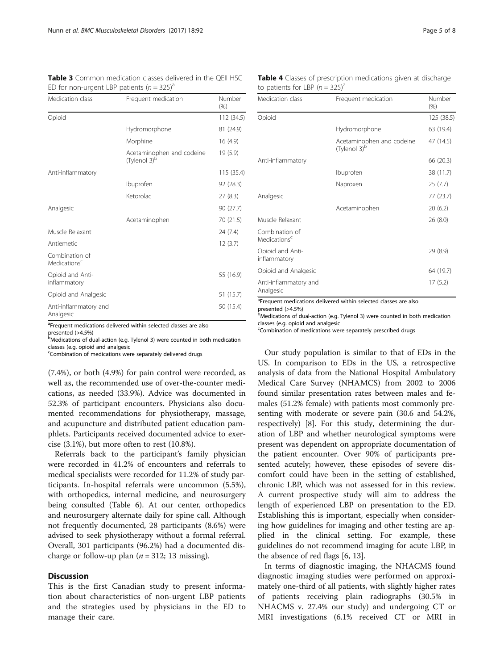<span id="page-4-0"></span>

|  | <b>Table 3</b> Common medication classes delivered in the OEII HSC |  |  |  |
|--|--------------------------------------------------------------------|--|--|--|
|  | ED for non-urgent LBP patients $(n = 325)^{d}$                     |  |  |  |

| Medication class                           | Frequent medication                                   | Number<br>$(\% )$ |
|--------------------------------------------|-------------------------------------------------------|-------------------|
| Opioid                                     |                                                       | 112 (34.5)        |
|                                            | Hydromorphone                                         | 81 (24.9)         |
|                                            | Morphine                                              | 16(4.9)           |
|                                            | Acetaminophen and codeine<br>(Tylenol 3) <sup>b</sup> | 19 (5.9)          |
| Anti-inflammatory                          |                                                       | 115 (35.4)        |
|                                            | Ibuprofen                                             | 92 (28.3)         |
|                                            | Ketorolac                                             | 27(8.3)           |
| Analgesic                                  |                                                       | 90 (27.7)         |
|                                            | Acetaminophen                                         | 70 (21.5)         |
| Muscle Relaxant                            |                                                       | 24 (7.4)          |
| Antiemetic                                 |                                                       | 12(3.7)           |
| Combination of<br>Medications <sup>c</sup> |                                                       |                   |
| Opioid and Anti-<br>inflammatory           |                                                       | 55 (16.9)         |
| Opioid and Analgesic                       |                                                       | 51 (15.7)         |
| Anti-inflammatory and<br>Analgesic         |                                                       | 50 (15.4)         |

<sup>a</sup>Frequent medications delivered within selected classes are also

presented (>4.5%)

<sup>b</sup>Medications of dual-action (e.g. Tylenol 3) were counted in both medication classes (e.g. opioid and analgesic

<sup>c</sup>Combination of medications were separately delivered drugs

(7.4%), or both (4.9%) for pain control were recorded, as well as, the recommended use of over-the-counter medications, as needed (33.9%). Advice was documented in 52.3% of participant encounters. Physicians also documented recommendations for physiotherapy, massage, and acupuncture and distributed patient education pamphlets. Participants received documented advice to exercise (3.1%), but more often to rest (10.8%).

Referrals back to the participant's family physician were recorded in 41.2% of encounters and referrals to medical specialists were recorded for 11.2% of study participants. In-hospital referrals were uncommon (5.5%), with orthopedics, internal medicine, and neurosurgery being consulted (Table [6\)](#page-5-0). At our center, orthopedics and neurosurgery alternate daily for spine call. Although not frequently documented, 28 participants (8.6%) were advised to seek physiotherapy without a formal referral. Overall, 301 participants (96.2%) had a documented discharge or follow-up plan ( $n = 312$ ; 13 missing).

## **Discussion**

This is the first Canadian study to present information about characteristics of non-urgent LBP patients and the strategies used by physicians in the ED to manage their care.

| <b>Table 4</b> Classes of prescription medications given at discharge |  |  |  |
|-----------------------------------------------------------------------|--|--|--|
| to patients for LBP ( $n = 325$ ) <sup>a</sup>                        |  |  |  |

| Medication class                           | Frequent medication                                   | Number<br>(% ) |
|--------------------------------------------|-------------------------------------------------------|----------------|
| Opioid                                     |                                                       | 125 (38.5)     |
|                                            | Hydromorphone                                         | 63 (19.4)      |
|                                            | Acetaminophen and codeine<br>(Tylenol 3) <sup>b</sup> | 47 (14.5)      |
| Anti-inflammatory                          |                                                       | 66 (20.3)      |
|                                            | Ibuprofen                                             | 38 (11.7)      |
|                                            | Naproxen                                              | 25(7.7)        |
| Analgesic                                  |                                                       | 77 (23.7)      |
|                                            | Acetaminophen                                         | 20(6.2)        |
| Muscle Relaxant                            |                                                       | 26(8.0)        |
| Combination of<br>Medications <sup>c</sup> |                                                       |                |
| Opioid and Anti-<br>inflammatory           |                                                       | 29 (8.9)       |
| Opioid and Analgesic                       |                                                       | 64 (19.7)      |
| Anti-inflammatory and<br>Analgesic         |                                                       | 17(5.2)        |

<sup>a</sup>Frequent medications delivered within selected classes are also

presented (>4.5%)<br><sup>b</sup>Medications of dual-action (e.g. Tylenol 3) were counted in both medication classes (e.g. opioid and analgesic

<sup>c</sup>Combination of medications were separately prescribed drugs

Our study population is similar to that of EDs in the US. In comparison to EDs in the US, a retrospective analysis of data from the National Hospital Ambulatory Medical Care Survey (NHAMCS) from 2002 to 2006 found similar presentation rates between males and females (51.2% female) with patients most commonly presenting with moderate or severe pain (30.6 and 54.2%, respectively) [[8\]](#page-7-0). For this study, determining the duration of LBP and whether neurological symptoms were present was dependent on appropriate documentation of the patient encounter. Over 90% of participants presented acutely; however, these episodes of severe discomfort could have been in the setting of established, chronic LBP, which was not assessed for in this review. A current prospective study will aim to address the length of experienced LBP on presentation to the ED. Establishing this is important, especially when considering how guidelines for imaging and other testing are applied in the clinical setting. For example, these guidelines do not recommend imaging for acute LBP, in the absence of red flags [[6, 13\]](#page-7-0).

In terms of diagnostic imaging, the NHACMS found diagnostic imaging studies were performed on approximately one-third of all patients, with slightly higher rates of patients receiving plain radiographs (30.5% in NHACMS v. 27.4% our study) and undergoing CT or MRI investigations (6.1% received CT or MRI in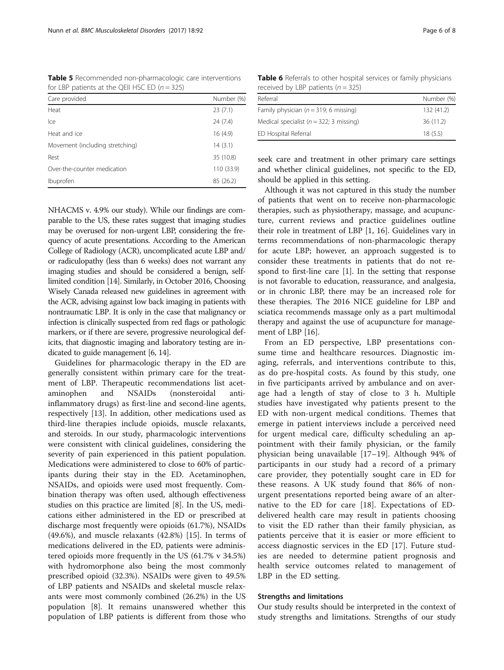<span id="page-5-0"></span>Table 5 Recommended non-pharmacologic care interventions for LBP patients at the QEII HSC ED ( $n = 325$ )

| Care provided                   | Number (%) |
|---------------------------------|------------|
| Heat                            | 23(7.1)    |
| Ice                             | 24 (7.4)   |
| Heat and ice                    | 16(4.9)    |
| Movement (including stretching) | 14(3.1)    |
| Rest                            | 35 (10.8)  |
| Over-the-counter medication     | 110 (33.9) |
| Ibuprofen                       | 85 (26.2)  |

NHACMS v. 4.9% our study). While our findings are comparable to the US, these rates suggest that imaging studies may be overused for non-urgent LBP, considering the frequency of acute presentations. According to the American College of Radiology (ACR), uncomplicated acute LBP and/ or radiculopathy (less than 6 weeks) does not warrant any imaging studies and should be considered a benign, selflimited condition [\[14\]](#page-7-0). Similarly, in October 2016, Choosing Wisely Canada released new guidelines in agreement with the ACR, advising against low back imaging in patients with nontraumatic LBP. It is only in the case that malignancy or infection is clinically suspected from red flags or pathologic markers, or if there are severe, progressive neurological deficits, that diagnostic imaging and laboratory testing are indicated to guide management [\[6, 14\]](#page-7-0).

Guidelines for pharmacologic therapy in the ED are generally consistent within primary care for the treatment of LBP. Therapeutic recommendations list acetaminophen and NSAIDs (nonsteroidal antiinflammatory drugs) as first-line and second-line agents, respectively [\[13\]](#page-7-0). In addition, other medications used as third-line therapies include opioids, muscle relaxants, and steroids. In our study, pharmacologic interventions were consistent with clinical guidelines, considering the severity of pain experienced in this patient population. Medications were administered to close to 60% of participants during their stay in the ED. Acetaminophen, NSAIDs, and opioids were used most frequently. Combination therapy was often used, although effectiveness studies on this practice are limited [[8\]](#page-7-0). In the US, medications either administered in the ED or prescribed at discharge most frequently were opioids (61.7%), NSAIDs (49.6%), and muscle relaxants (42.8%) [\[15\]](#page-7-0). In terms of medications delivered in the ED, patients were administered opioids more frequently in the US (61.7% v 34.5%) with hydromorphone also being the most commonly prescribed opioid (32.3%). NSAIDs were given to 49.5% of LBP patients and NSAIDs and skeletal muscle relaxants were most commonly combined (26.2%) in the US population [[8\]](#page-7-0). It remains unanswered whether this population of LBP patients is different from those who

Table 6 Referrals to other hospital services or family physicians received by LBP patients  $(n = 325)$ 

| Referral                                    | Number (%) |
|---------------------------------------------|------------|
| Family physician ( $n = 319$ ; 6 missing)   | 132 (41.2) |
| Medical specialist ( $n = 322$ ; 3 missing) | 36(11.2)   |
| ED Hospital Referral                        | 18(5.5)    |

seek care and treatment in other primary care settings and whether clinical guidelines, not specific to the ED, should be applied in this setting.

Although it was not captured in this study the number of patients that went on to receive non-pharmacologic therapies, such as physiotherapy, massage, and acupuncture, current reviews and practice guidelines outline their role in treatment of LBP [[1, 16](#page-7-0)]. Guidelines vary in terms recommendations of non-pharmacologic therapy for acute LBP; however, an approach suggested is to consider these treatments in patients that do not respond to first-line care [[1\]](#page-7-0). In the setting that response is not favorable to education, reassurance, and analgesia, or in chronic LBP, there may be an increased role for these therapies. The 2016 NICE guideline for LBP and sciatica recommends massage only as a part multimodal therapy and against the use of acupuncture for management of LBP [[16\]](#page-7-0).

From an ED perspective, LBP presentations consume time and healthcare resources. Diagnostic imaging, referrals, and interventions contribute to this, as do pre-hospital costs. As found by this study, one in five participants arrived by ambulance and on average had a length of stay of close to 3 h. Multiple studies have investigated why patients present to the ED with non-urgent medical conditions. Themes that emerge in patient interviews include a perceived need for urgent medical care, difficulty scheduling an appointment with their family physician, or the family physician being unavailable [\[17](#page-7-0)–[19](#page-7-0)]. Although 94% of participants in our study had a record of a primary care provider, they potentially sought care in ED for these reasons. A UK study found that 86% of nonurgent presentations reported being aware of an alternative to the ED for care [[18](#page-7-0)]. Expectations of EDdelivered health care may result in patients choosing to visit the ED rather than their family physician, as patients perceive that it is easier or more efficient to access diagnostic services in the ED [\[17](#page-7-0)]. Future studies are needed to determine patient prognosis and health service outcomes related to management of LBP in the ED setting.

#### Strengths and limitations

Our study results should be interpreted in the context of study strengths and limitations. Strengths of our study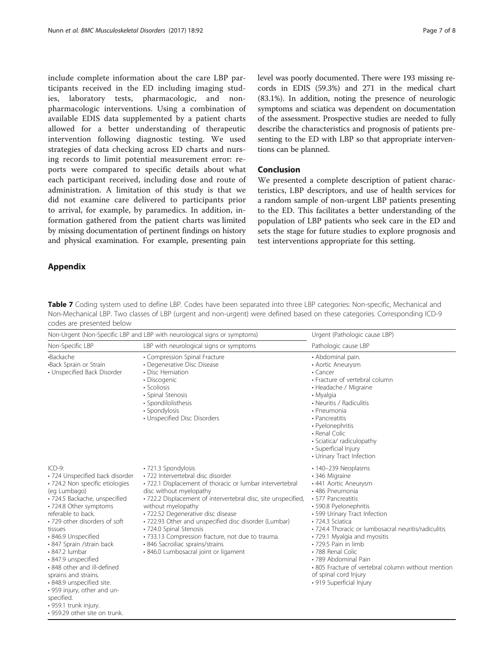include complete information about the care LBP participants received in the ED including imaging studies, laboratory tests, pharmacologic, and nonpharmacologic interventions. Using a combination of available EDIS data supplemented by a patient charts allowed for a better understanding of therapeutic intervention following diagnostic testing. We used strategies of data checking across ED charts and nursing records to limit potential measurement error: reports were compared to specific details about what each participant received, including dose and route of administration. A limitation of this study is that we did not examine care delivered to participants prior

to arrival, for example, by paramedics. In addition, information gathered from the patient charts was limited by missing documentation of pertinent findings on history and physical examination. For example, presenting pain level was poorly documented. There were 193 missing records in EDIS (59.3%) and 271 in the medical chart (83.1%). In addition, noting the presence of neurologic symptoms and sciatica was dependent on documentation of the assessment. Prospective studies are needed to fully describe the characteristics and prognosis of patients presenting to the ED with LBP so that appropriate interventions can be planned.

## Conclusion

We presented a complete description of patient characteristics, LBP descriptors, and use of health services for a random sample of non-urgent LBP patients presenting to the ED. This facilitates a better understanding of the population of LBP patients who seek care in the ED and sets the stage for future studies to explore prognosis and test interventions appropriate for this setting.

## Appendix

Table 7 Coding system used to define LBP. Codes have been separated into three LBP categories: Non-specific, Mechanical and Non-Mechanical LBP. Two classes of LBP (urgent and non-urgent) were defined based on these categories. Corresponding ICD-9 codes are presented below

| Non-Urgent (Non-Specific LBP and LBP with neurological signs or symptoms)                                                                                                                                                                                                                                                                                                                                                                                                                                                   |                                                                                                                                                                                                                                                                                                                                                                                                                                                                                                       | Urgent (Pathologic cause LBP)                                                                                                                                                                                                                                                                                                                                                                                                                                  |
|-----------------------------------------------------------------------------------------------------------------------------------------------------------------------------------------------------------------------------------------------------------------------------------------------------------------------------------------------------------------------------------------------------------------------------------------------------------------------------------------------------------------------------|-------------------------------------------------------------------------------------------------------------------------------------------------------------------------------------------------------------------------------------------------------------------------------------------------------------------------------------------------------------------------------------------------------------------------------------------------------------------------------------------------------|----------------------------------------------------------------------------------------------------------------------------------------------------------------------------------------------------------------------------------------------------------------------------------------------------------------------------------------------------------------------------------------------------------------------------------------------------------------|
| Non-Specific LBP                                                                                                                                                                                                                                                                                                                                                                                                                                                                                                            | LBP with neurological signs or symptoms                                                                                                                                                                                                                                                                                                                                                                                                                                                               | Pathologic cause LBP                                                                                                                                                                                                                                                                                                                                                                                                                                           |
| •Backache<br>-Back Sprain or Strain<br>• Unspecified Back Disorder                                                                                                                                                                                                                                                                                                                                                                                                                                                          | • Compression Spinal Fracture<br>• Degenerative Disc Disease<br>• Disc Herniation<br>· Discogenic<br>• Scoliosis<br>• Spinal Stenosis<br>· Spondilolisthesis<br>· Spondylosis<br>• Unspecified Disc Disorders                                                                                                                                                                                                                                                                                         | • Abdominal pain.<br>• Aortic Aneurysm<br>$\cdot$ Cancer<br>• Fracture of vertebral column<br>• Headache / Migraine<br>• Myalgia<br>• Neuritis / Radiculitis<br>• Pneumonia<br>• Pancreatitis<br>• Pyelonephritis<br>• Renal Colic<br>• Sciatica/ radiculopathy<br>· Superficial Injury<br>• Urinary Tract Infection                                                                                                                                           |
| $ICD-9$ :<br>• 724 Unspecified back disorder<br>· 724.2 Non specific etiologies<br>(eg Lumbago)<br>· 724.5 Backache, unspecified<br>• 724.8 Other symptoms<br>referable to back.<br>• 729 other disorders of soft<br>tissues<br>· 846.9 Unspecified<br>• 847 Sprain / strain back<br>$\cdot$ 847.2 lumbar<br>· 847.9 unspecified<br>• 848 other and ill-defined<br>sprains and strains.<br>· 848.9 unspecified site.<br>• 959 injury, other and un-<br>specified.<br>• 959.1 trunk injury.<br>• 959.29 other site on trunk. | · 721.3 Spondylosis<br>· 722 Intervertebral disc disorder<br>· 722.1 Displacement of thoracic or lumbar intervertebral<br>disc without myelopathy<br>· 722.2 Displacement of intervertebral disc, site unspecified,<br>without myelopathy<br>· 722.52 Degenerative disc disease<br>· 722.93 Other and unspecified disc disorder (Lumbar)<br>· 724.0 Spinal Stenosis<br>· 733.13 Compression fracture, not due to trauma.<br>• 846 Sacroiliac sprains/strains<br>· 846.0 Lumbosacral joint or ligament | • 140-239 Neoplasms<br>· 346 Migraine<br>• 441 Aortic Aneurysm<br>· 486 Pneumonia<br>• 577 Pancreatitis<br>· 590.8 Pyelonephritis<br>• 599 Urinary Tract Infection<br>· 724.3 Sciatica<br>• 724.4 Thoracic or lumbosacral neuritis/radiculitis<br>• 729.1 Myalgia and myositis<br>· 729.5 Pain in limb<br>• 788 Renal Colic<br>• 789 Abdominal Pain<br>• 805 Fracture of vertebral column without mention<br>of spinal cord Injury<br>• 919 Superficial Injury |